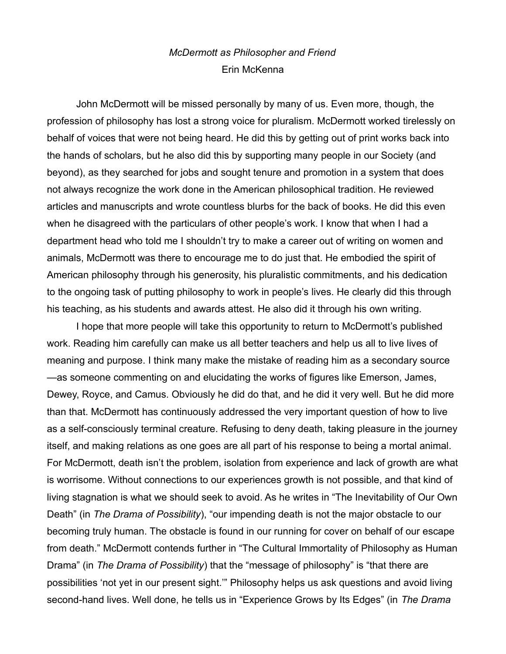## *McDermott as Philosopher and Friend* Erin McKenna

John McDermott will be missed personally by many of us. Even more, though, the profession of philosophy has lost a strong voice for pluralism. McDermott worked tirelessly on behalf of voices that were not being heard. He did this by getting out of print works back into the hands of scholars, but he also did this by supporting many people in our Society (and beyond), as they searched for jobs and sought tenure and promotion in a system that does not always recognize the work done in the American philosophical tradition. He reviewed articles and manuscripts and wrote countless blurbs for the back of books. He did this even when he disagreed with the particulars of other people's work. I know that when I had a department head who told me I shouldn't try to make a career out of writing on women and animals, McDermott was there to encourage me to do just that. He embodied the spirit of American philosophy through his generosity, his pluralistic commitments, and his dedication to the ongoing task of putting philosophy to work in people's lives. He clearly did this through his teaching, as his students and awards attest. He also did it through his own writing.

I hope that more people will take this opportunity to return to McDermott's published work. Reading him carefully can make us all better teachers and help us all to live lives of meaning and purpose. I think many make the mistake of reading him as a secondary source —as someone commenting on and elucidating the works of figures like Emerson, James, Dewey, Royce, and Camus. Obviously he did do that, and he did it very well. But he did more than that. McDermott has continuously addressed the very important question of how to live as a self-consciously terminal creature. Refusing to deny death, taking pleasure in the journey itself, and making relations as one goes are all part of his response to being a mortal animal. For McDermott, death isn't the problem, isolation from experience and lack of growth are what is worrisome. Without connections to our experiences growth is not possible, and that kind of living stagnation is what we should seek to avoid. As he writes in "The Inevitability of Our Own Death" (in *The Drama of Possibility*), "our impending death is not the major obstacle to our becoming truly human. The obstacle is found in our running for cover on behalf of our escape from death." McDermott contends further in "The Cultural Immortality of Philosophy as Human Drama" (in *The Drama of Possibility*) that the "message of philosophy" is "that there are possibilities 'not yet in our present sight.'" Philosophy helps us ask questions and avoid living second-hand lives. Well done, he tells us in "Experience Grows by Its Edges" (in *The Drama*